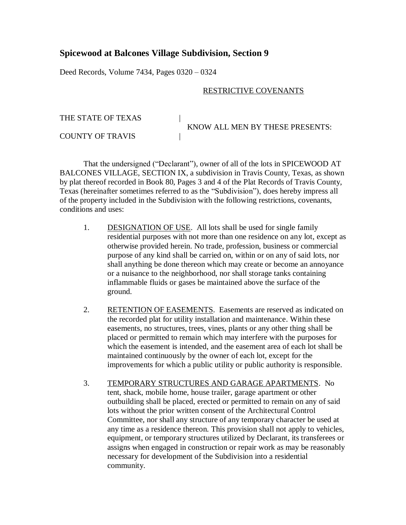## **Spicewood at Balcones Village Subdivision, Section 9**

Deed Records, Volume 7434, Pages 0320 – 0324

## RESTRICTIVE COVENANTS

THE STATE OF TEXAS KNOW ALL MEN BY THESE PRESENTS: COUNTY OF TRAVIS |

That the undersigned ("Declarant"), owner of all of the lots in SPICEWOOD AT BALCONES VILLAGE, SECTION IX, a subdivision in Travis County, Texas, as shown by plat thereof recorded in Book 80, Pages 3 and 4 of the Plat Records of Travis County, Texas (hereinafter sometimes referred to as the "Subdivision"), does hereby impress all of the property included in the Subdivision with the following restrictions, covenants, conditions and uses:

- 1. DESIGNATION OF USE. All lots shall be used for single family residential purposes with not more than one residence on any lot, except as otherwise provided herein. No trade, profession, business or commercial purpose of any kind shall be carried on, within or on any of said lots, nor shall anything be done thereon which may create or become an annoyance or a nuisance to the neighborhood, nor shall storage tanks containing inflammable fluids or gases be maintained above the surface of the ground.
- 2. RETENTION OF EASEMENTS. Easements are reserved as indicated on the recorded plat for utility installation and maintenance. Within these easements, no structures, trees, vines, plants or any other thing shall be placed or permitted to remain which may interfere with the purposes for which the easement is intended, and the easement area of each lot shall be maintained continuously by the owner of each lot, except for the improvements for which a public utility or public authority is responsible.
- 3. TEMPORARY STRUCTURES AND GARAGE APARTMENTS. No tent, shack, mobile home, house trailer, garage apartment or other outbuilding shall be placed, erected or permitted to remain on any of said lots without the prior written consent of the Architectural Control Committee, nor shall any structure of any temporary character be used at any time as a residence thereon. This provision shall not apply to vehicles, equipment, or temporary structures utilized by Declarant, its transferees or assigns when engaged in construction or repair work as may be reasonably necessary for development of the Subdivision into a residential community.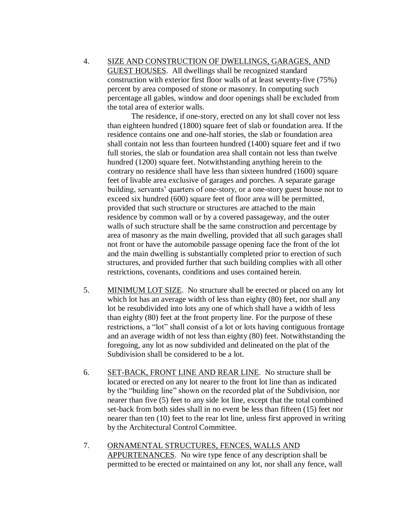4. SIZE AND CONSTRUCTION OF DWELLINGS, GARAGES, AND GUEST HOUSES. All dwellings shall be recognized standard construction with exterior first floor walls of at least seventy-five (75%) percent by area composed of stone or masonry. In computing such percentage all gables, window and door openings shall be excluded from the total area of exterior walls.

The residence, if one-story, erected on any lot shall cover not less than eighteen hundred (1800) square feet of slab or foundation area. If the residence contains one and one-half stories, the slab or foundation area shall contain not less than fourteen hundred (1400) square feet and if two full stories, the slab or foundation area shall contain not less than twelve hundred (1200) square feet. Notwithstanding anything herein to the contrary no residence shall have less than sixteen hundred (1600) square feet of livable area exclusive of garages and porches. A separate garage building, servants' quarters of one-story, or a one-story guest house not to exceed six hundred (600) square feet of floor area will be permitted, provided that such structure or structures are attached to the main residence by common wall or by a covered passageway, and the outer walls of such structure shall be the same construction and percentage by area of masonry as the main dwelling, provided that all such garages shall not front or have the automobile passage opening face the front of the lot and the main dwelling is substantially completed prior to erection of such structures, and provided further that such building complies with all other restrictions, covenants, conditions and uses contained herein.

- 5. MINIMUM LOT SIZE. No structure shall be erected or placed on any lot which lot has an average width of less than eighty (80) feet, nor shall any lot be resubdivided into lots any one of which shall have a width of less than eighty (80) feet at the front property line. For the purpose of these restrictions, a "lot" shall consist of a lot or lots having contiguous frontage and an average width of not less than eighty (80) feet. Notwithstanding the foregoing, any lot as now subdivided and delineated on the plat of the Subdivision shall be considered to be a lot.
- 6. SET-BACK, FRONT LINE AND REAR LINE. No structure shall be located or erected on any lot nearer to the front lot line than as indicated by the "building line" shown on the recorded plat of the Subdivision, nor nearer than five (5) feet to any side lot line, except that the total combined set-back from both sides shall in no event be less than fifteen (15) feet nor nearer than ten (10) feet to the rear lot line, unless first approved in writing by the Architectural Control Committee.
- 7. ORNAMENTAL STRUCTURES, FENCES, WALLS AND APPURTENANCES. No wire type fence of any description shall be permitted to be erected or maintained on any lot, nor shall any fence, wall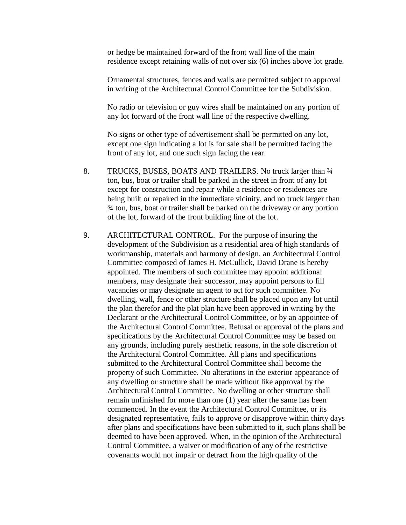or hedge be maintained forward of the front wall line of the main residence except retaining walls of not over six (6) inches above lot grade.

Ornamental structures, fences and walls are permitted subject to approval in writing of the Architectural Control Committee for the Subdivision.

No radio or television or guy wires shall be maintained on any portion of any lot forward of the front wall line of the respective dwelling.

No signs or other type of advertisement shall be permitted on any lot, except one sign indicating a lot is for sale shall be permitted facing the front of any lot, and one such sign facing the rear.

- 8. TRUCKS, BUSES, BOATS AND TRAILERS. No truck larger than  $\frac{3}{4}$ ton, bus, boat or trailer shall be parked in the street in front of any lot except for construction and repair while a residence or residences are being built or repaired in the immediate vicinity, and no truck larger than ¾ ton, bus, boat or trailer shall be parked on the driveway or any portion of the lot, forward of the front building line of the lot.
- 9. ARCHITECTURAL CONTROL. For the purpose of insuring the development of the Subdivision as a residential area of high standards of workmanship, materials and harmony of design, an Architectural Control Committee composed of James H. McCullick, David Drane is hereby appointed. The members of such committee may appoint additional members, may designate their successor, may appoint persons to fill vacancies or may designate an agent to act for such committee. No dwelling, wall, fence or other structure shall be placed upon any lot until the plan therefor and the plat plan have been approved in writing by the Declarant or the Architectural Control Committee, or by an appointee of the Architectural Control Committee. Refusal or approval of the plans and specifications by the Architectural Control Committee may be based on any grounds, including purely aesthetic reasons, in the sole discretion of the Architectural Control Committee. All plans and specifications submitted to the Architectural Control Committee shall become the property of such Committee. No alterations in the exterior appearance of any dwelling or structure shall be made without like approval by the Architectural Control Committee. No dwelling or other structure shall remain unfinished for more than one (1) year after the same has been commenced. In the event the Architectural Control Committee, or its designated representative, fails to approve or disapprove within thirty days after plans and specifications have been submitted to it, such plans shall be deemed to have been approved. When, in the opinion of the Architectural Control Committee, a waiver or modification of any of the restrictive covenants would not impair or detract from the high quality of the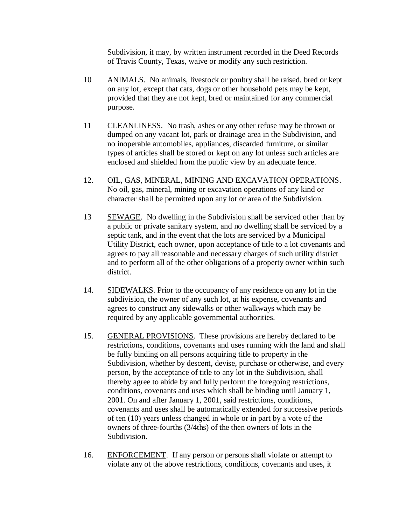Subdivision, it may, by written instrument recorded in the Deed Records of Travis County, Texas, waive or modify any such restriction.

- 10 ANIMALS. No animals, livestock or poultry shall be raised, bred or kept on any lot, except that cats, dogs or other household pets may be kept, provided that they are not kept, bred or maintained for any commercial purpose.
- 11 CLEANLINESS. No trash, ashes or any other refuse may be thrown or dumped on any vacant lot, park or drainage area in the Subdivision, and no inoperable automobiles, appliances, discarded furniture, or similar types of articles shall be stored or kept on any lot unless such articles are enclosed and shielded from the public view by an adequate fence.
- 12. OIL, GAS, MINERAL, MINING AND EXCAVATION OPERATIONS. No oil, gas, mineral, mining or excavation operations of any kind or character shall be permitted upon any lot or area of the Subdivision.
- 13 SEWAGE. No dwelling in the Subdivision shall be serviced other than by a public or private sanitary system, and no dwelling shall be serviced by a septic tank, and in the event that the lots are serviced by a Municipal Utility District, each owner, upon acceptance of title to a lot covenants and agrees to pay all reasonable and necessary charges of such utility district and to perform all of the other obligations of a property owner within such district.
- 14. SIDEWALKS. Prior to the occupancy of any residence on any lot in the subdivision, the owner of any such lot, at his expense, covenants and agrees to construct any sidewalks or other walkways which may be required by any applicable governmental authorities.
- 15. GENERAL PROVISIONS. These provisions are hereby declared to be restrictions, conditions, covenants and uses running with the land and shall be fully binding on all persons acquiring title to property in the Subdivision, whether by descent, devise, purchase or otherwise, and every person, by the acceptance of title to any lot in the Subdivision, shall thereby agree to abide by and fully perform the foregoing restrictions, conditions, covenants and uses which shall be binding until January 1, 2001. On and after January 1, 2001, said restrictions, conditions, covenants and uses shall be automatically extended for successive periods of ten (10) years unless changed in whole or in part by a vote of the owners of three-fourths (3/4ths) of the then owners of lots in the Subdivision.
- 16. ENFORCEMENT. If any person or persons shall violate or attempt to violate any of the above restrictions, conditions, covenants and uses, it